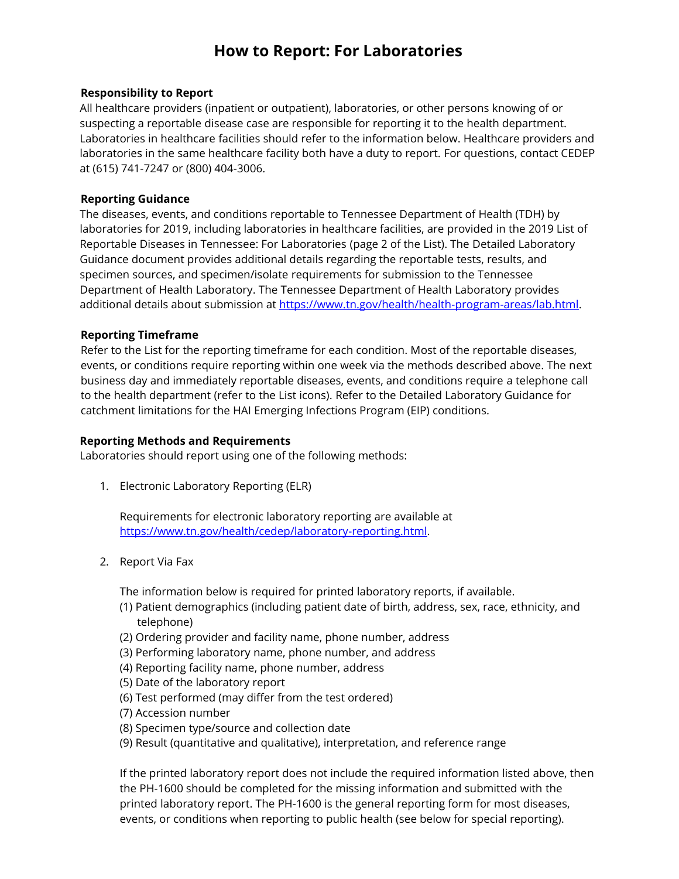# **How to Report: For Laboratories**

#### **Responsibility to Report**

All healthcare providers (inpatient or outpatient), laboratories, or other persons knowing of or suspecting a reportable disease case are responsible for reporting it to the health department. Laboratories in healthcare facilities should refer to the information below. Healthcare providers and laboratories in the same healthcare facility both have a duty to report. For questions, contact CEDEP at (615) 741-7247 or (800) 404-3006.

#### **Reporting Guidance**

The diseases, events, and conditions reportable to Tennessee Department of Health (TDH) by laboratories for 2019, including laboratories in healthcare facilities, are provided in the 2019 [List of](file:///C:/Users/dc49e01/Desktop/2017_List_For_Laboratories.pdf)  [Reportable Diseases in Tennessee: For Laboratories](file:///C:/Users/dc49e01/Desktop/2017_List_For_Laboratories.pdf) (page 2 of the List). The [Detailed Laboratory](file:///C:/Users/dc49e01/Desktop/2017_Detailed_Laboratory_Guidance.pdf)  [Guidance](file:///C:/Users/dc49e01/Desktop/2017_Detailed_Laboratory_Guidance.pdf) document provides additional details regarding the reportable tests, results, and specimen sources, and specimen/isolate requirements for submission to the Tennessee Department of Health Laboratory. The Tennessee Department of Health Laboratory provides additional details about submission at [https://www.tn.gov/health/health-program-areas/lab.html.](https://www.tn.gov/health/health-program-areas/lab.html)

### **Reporting Timeframe**

Refer to the List for the reporting timeframe for each condition. Most of the reportable diseases, events, or conditions require reporting within one week via the methods described above. The next business day and immediately reportable diseases, events, and conditions require a telephone call to the health department (refer to the List icons). Refer to the Detailed Laboratory Guidance for catchment limitations for the HAI Emerging Infections Program (EIP) conditions.

#### **Reporting Methods and Requirements**

Laboratories should report using one of the following methods:

1. Electronic Laboratory Reporting (ELR)

Requirements for electronic laboratory reporting are available at [https://www.tn.gov/health/cedep/laboratory-reporting.html.](https://www.tn.gov/health/cedep/laboratory-reporting.html)

2. Report Via Fax

The information below is required for printed laboratory reports, if available.

- (1) Patient demographics (including patient date of birth, address, sex, race, ethnicity, and telephone)
- (2) Ordering provider and facility name, phone number, address
- (3) Performing laboratory name, phone number, and address
- (4) Reporting facility name, phone number, address
- (5) Date of the laboratory report
- (6) Test performed (may differ from the test ordered)
- (7) Accession number
- (8) Specimen type/source and collection date
- (9) Result (quantitative and qualitative), interpretation, and reference range

If the printed laboratory report does not include the required information listed above, then the [PH-1600](file:///C:/Users/dc49e01/Desktop/2017_Reporting_Form_PH-1600.pdf) should be completed for the missing information and submitted with the printed laboratory report. The PH-1600 is the general reporting form for most diseases, events, or conditions when reporting to public health (see below for special reporting).